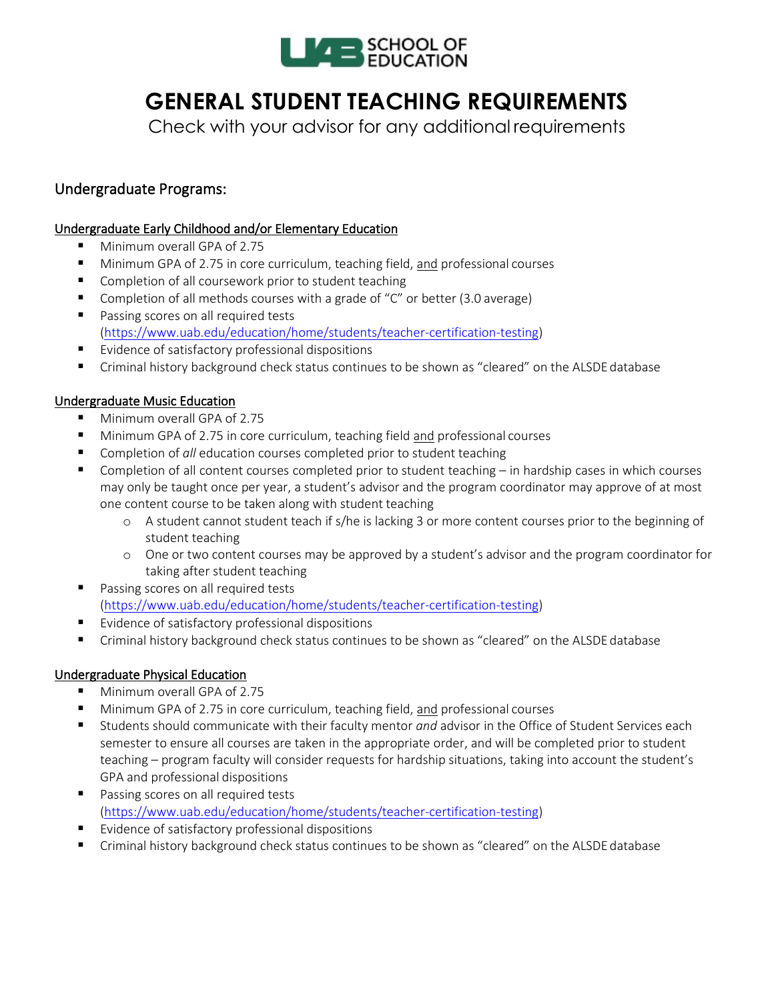

# **GENERAL STUDENT TEACHING REQUIREMENTS**

Check with your advisor for any additional requirements

### Undergraduate Programs:

### Undergraduate Early Childhood and/or Elementary Education

- Minimum overall GPA of 2.75
- **Minimum GPA of 2.75 in core curriculum, teaching field, and professional courses**
- Completion of all coursework prior to student teaching
- Completion of all methods courses with a grade of "C" or better (3.0 average)
- **Passing scores on all required tests** [\(https://www.uab.edu/education/home/students/teacher-certification-testing\)](https://www.uab.edu/education/home/students/teacher-certification-testing)
- **E** Evidence of satisfactory professional dispositions
- **F** Criminal history background check status continues to be shown as "cleared" on the ALSDE database

### Undergraduate Music Education

- Minimum overall GPA of 2.75
- Minimum GPA of 2.75 in core curriculum, teaching field and professional courses
- Completion of *all* education courses completed prior to student teaching
- Completion of all content courses completed prior to student teaching in hardship cases in which courses may only be taught once per year, a student's advisor and the program coordinator may approve of at most one content course to be taken along with student teaching
	- o A student cannot student teach if s/he is lacking 3 or more content courses prior to the beginning of student teaching
	- o One or two content courses may be approved by a student's advisor and the program coordinator for taking after student teaching
- **Passing scores on all required tests** [\(https://www.uab.edu/education/home/students/teacher-certification-testing\)](https://www.uab.edu/education/home/students/teacher-certification-testing)
- **Example 1** Evidence of satisfactory professional dispositions
- Criminal history background check status continues to be shown as "cleared" on the ALSDE database

### Undergraduate Physical Education

- **Minimum overall GPA of 2.75**
- Minimum GPA of 2.75 in core curriculum, teaching field, and professional courses
- Students should communicate with their faculty mentor *and* advisor in the Office of Student Services each semester to ensure all courses are taken in the appropriate order, and will be completed prior to student teaching – program faculty will consider requests for hardship situations, taking into account the student's GPA and professional dispositions
- **Passing scores on all required tests** [\(https://www.uab.edu/education/home/students/teacher-certification-testing\)](https://www.uab.edu/education/home/students/teacher-certification-testing)
- **E** Evidence of satisfactory professional dispositions
- Criminal history background check status continues to be shown as "cleared" on the ALSDE database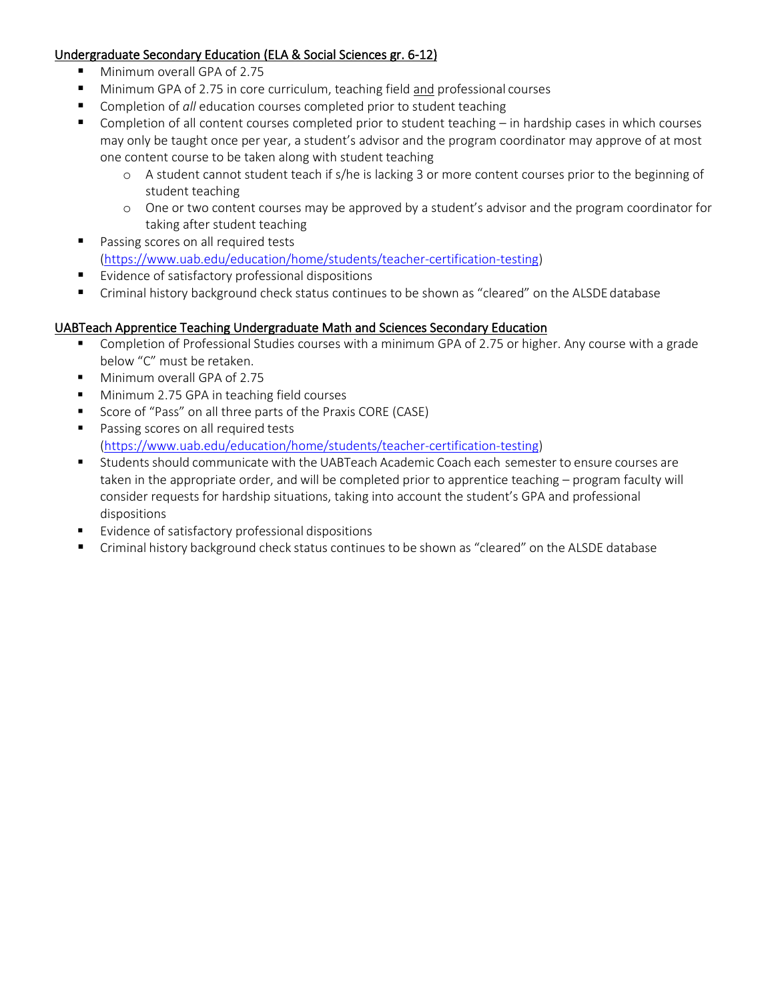### Undergraduate Secondary Education (ELA & Social Sciences gr. 6-12)

- Minimum overall GPA of 2.75
- Minimum GPA of 2.75 in core curriculum, teaching field and professional courses
- Completion of *all* education courses completed prior to student teaching
- Completion of all content courses completed prior to student teaching in hardship cases in which courses may only be taught once per year, a student's advisor and the program coordinator may approve of at most one content course to be taken along with student teaching
	- o A student cannot student teach if s/he is lacking 3 or more content courses prior to the beginning of student teaching
	- o One or two content courses may be approved by a student's advisor and the program coordinator for taking after student teaching
- **Passing scores on all required tests** [\(https://www.uab.edu/education/home/students/teacher-certification-testing\)](https://www.uab.edu/education/home/students/teacher-certification-testing)
- Evidence of satisfactory professional dispositions
- Criminal history background check status continues to be shown as "cleared" on the ALSDE database

#### UABTeach Apprentice Teaching Undergraduate Math and Sciences Secondary Education

- Completion of Professional Studies courses with a minimum GPA of 2.75 or higher. Any course with a grade below "C" must be retaken.
- Minimum overall GPA of 2.75
- **Minimum 2.75 GPA in teaching field courses**
- **Score of "Pass" on all three parts of the Praxis CORE (CASE)**
- **Passing scores on all required tests** [\(https://www.uab.edu/education/home/students/teacher-certification-testing\)](https://www.uab.edu/education/home/students/teacher-certification-testing)
- Students should communicate with the UABTeach Academic Coach each semester to ensure courses are taken in the appropriate order, and will be completed prior to apprentice teaching – program faculty will consider requests for hardship situations, taking into account the student's GPA and professional dispositions
- **Evidence of satisfactory professional dispositions**
- Criminal history background check status continues to be shown as "cleared" on the ALSDE database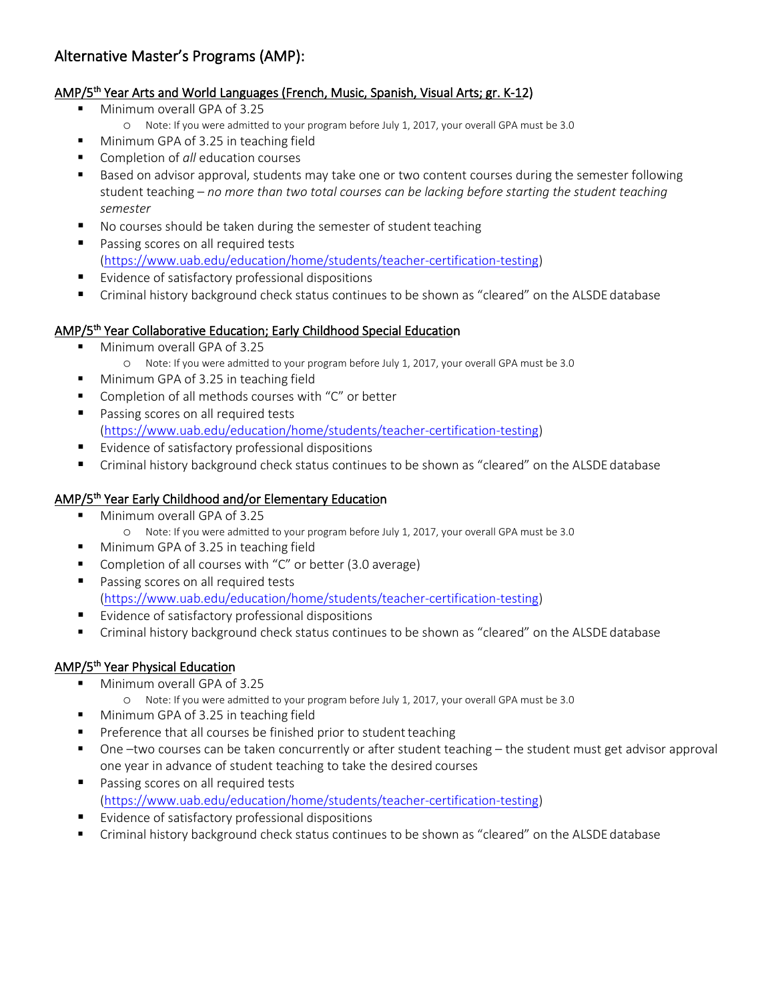## Alternative Master's Programs (AMP):

### AMP/5th Year Arts and World Languages (French, Music, Spanish, Visual Arts; gr. K-12)

- Minimum overall GPA of 3.25
	- o Note: If you were admitted to your program before July 1, 2017, your overall GPA must be 3.0
- **Minimum GPA of 3.25 in teaching field**
- **EXECOMPLERIAT COMPLETE:** Completion of *all* education courses
- Based on advisor approval, students may take one or two content courses during the semester following student teaching – *no more than two total courses can be lacking before starting the student teaching semester*
- No courses should be taken during the semester of student teaching
- **Passing scores on all required tests** [\(https://www.uab.edu/education/home/students/teacher-certification-testing\)](https://www.uab.edu/education/home/students/teacher-certification-testing)
- **EXIMENCE OF SATISFACTORY PROFESSIONAL DISPOSITIONS**
- Criminal history background check status continues to be shown as "cleared" on the ALSDE database

### AMP/5th Year Collaborative Education; Early Childhood Special Education

- **Minimum overall GPA of 3.25** 
	- o Note: If you were admitted to your program before July 1, 2017, your overall GPA must be 3.0
- **Minimum GPA of 3.25 in teaching field**
- **Completion of all methods courses with "C" or better**
- Passing scores on all required tests [\(https://www.uab.edu/education/home/students/teacher-certification-testing\)](https://www.uab.edu/education/home/students/teacher-certification-testing)
- **E** Evidence of satisfactory professional dispositions
- **F** Criminal history background check status continues to be shown as "cleared" on the ALSDE database

### AMP/5<sup>th</sup> Year Early Childhood and/or Elementary Education

- Minimum overall GPA of 3.25
	- o Note: If you were admitted to your program before July 1, 2017, your overall GPA must be 3.0
- **Minimum GPA of 3.25 in teaching field**
- Completion of all courses with "C" or better (3.0 average)
- **Passing scores on all required tests** [\(https://www.uab.edu/education/home/students/teacher-certification-testing\)](https://www.uab.edu/education/home/students/teacher-certification-testing)
- **E** Evidence of satisfactory professional dispositions
- Criminal history background check status continues to be shown as "cleared" on the ALSDE database

### AMP/5th Year Physical Education

- **Minimum overall GPA of 3.25** 
	- o Note: If you were admitted to your program before July 1, 2017, your overall GPA must be 3.0
- **Minimum GPA of 3.25 in teaching field**
- **Preference that all courses be finished prior to student teaching**
- One –two courses can be taken concurrently or after student teaching the student must get advisor approval one year in advance of student teaching to take the desired courses
- **Passing scores on all required tests** [\(https://www.uab.edu/education/home/students/teacher-certification-testing\)](https://www.uab.edu/education/home/students/teacher-certification-testing)
- **Exidence of satisfactory professional dispositions**
- Criminal history background check status continues to be shown as "cleared" on the ALSDE database